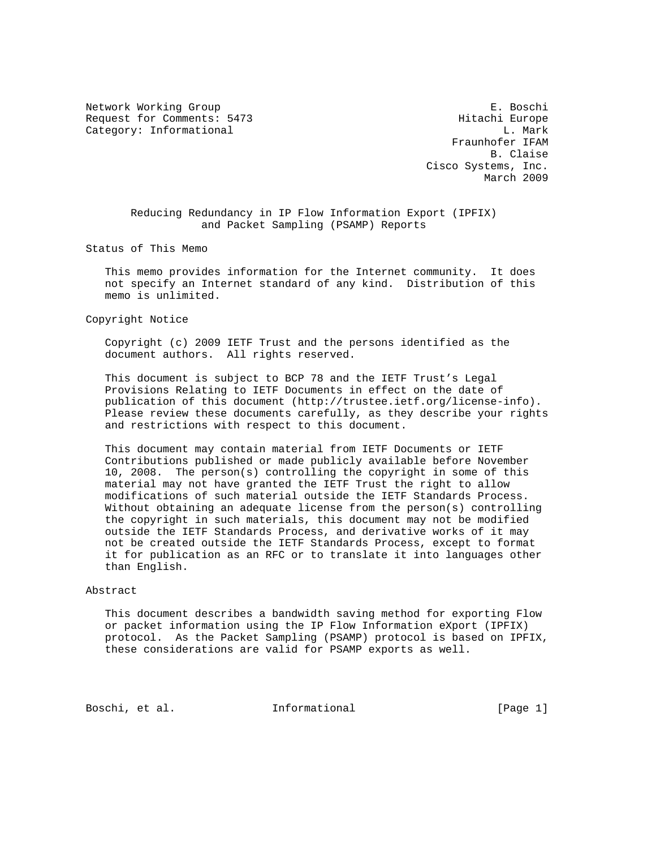Network Working Group **E. Boschi** Request for Comments: 5473 Hitachi Europe Category: Informational and L. Mark

 Fraunhofer IFAM B. Claise Cisco Systems, Inc. March 2009

 Reducing Redundancy in IP Flow Information Export (IPFIX) and Packet Sampling (PSAMP) Reports

Status of This Memo

 This memo provides information for the Internet community. It does not specify an Internet standard of any kind. Distribution of this memo is unlimited.

Copyright Notice

 Copyright (c) 2009 IETF Trust and the persons identified as the document authors. All rights reserved.

 This document is subject to BCP 78 and the IETF Trust's Legal Provisions Relating to IETF Documents in effect on the date of publication of this document (http://trustee.ietf.org/license-info). Please review these documents carefully, as they describe your rights and restrictions with respect to this document.

 This document may contain material from IETF Documents or IETF Contributions published or made publicly available before November 10, 2008. The person(s) controlling the copyright in some of this material may not have granted the IETF Trust the right to allow modifications of such material outside the IETF Standards Process. Without obtaining an adequate license from the person(s) controlling the copyright in such materials, this document may not be modified outside the IETF Standards Process, and derivative works of it may not be created outside the IETF Standards Process, except to format it for publication as an RFC or to translate it into languages other than English.

#### Abstract

 This document describes a bandwidth saving method for exporting Flow or packet information using the IP Flow Information eXport (IPFIX) protocol. As the Packet Sampling (PSAMP) protocol is based on IPFIX, these considerations are valid for PSAMP exports as well.

Boschi, et al. **Informational** [Page 1]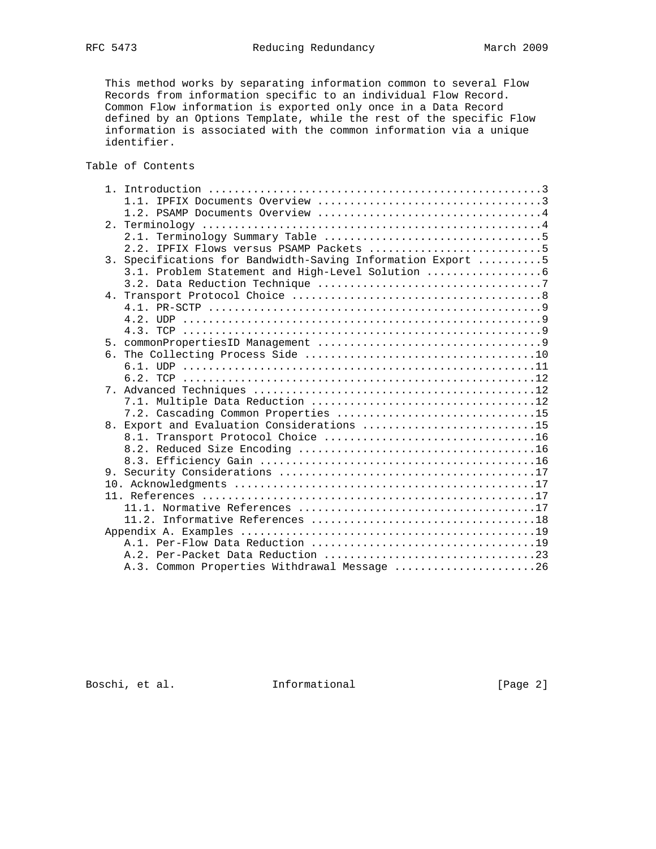This method works by separating information common to several Flow Records from information specific to an individual Flow Record. Common Flow information is exported only once in a Data Record defined by an Options Template, while the rest of the specific Flow information is associated with the common information via a unique identifier.

# Table of Contents

|                | 2.2. IPFIX Flows versus PSAMP Packets 5                  |  |
|----------------|----------------------------------------------------------|--|
| 3.             | Specifications for Bandwidth-Saving Information Export 5 |  |
|                | 3.1. Problem Statement and High-Level Solution           |  |
|                |                                                          |  |
|                |                                                          |  |
|                |                                                          |  |
|                |                                                          |  |
|                |                                                          |  |
|                |                                                          |  |
|                |                                                          |  |
|                |                                                          |  |
|                |                                                          |  |
| 7 <sub>1</sub> |                                                          |  |
|                |                                                          |  |
|                | 7.2. Cascading Common Properties 15                      |  |
|                | 8. Export and Evaluation Considerations 15               |  |
|                |                                                          |  |
|                |                                                          |  |
|                |                                                          |  |
|                |                                                          |  |
|                |                                                          |  |
|                |                                                          |  |
|                |                                                          |  |
|                |                                                          |  |
|                |                                                          |  |
|                |                                                          |  |
|                |                                                          |  |
|                | A.3. Common Properties Withdrawal Message 26             |  |

Boschi, et al. 1nformational [Page 2]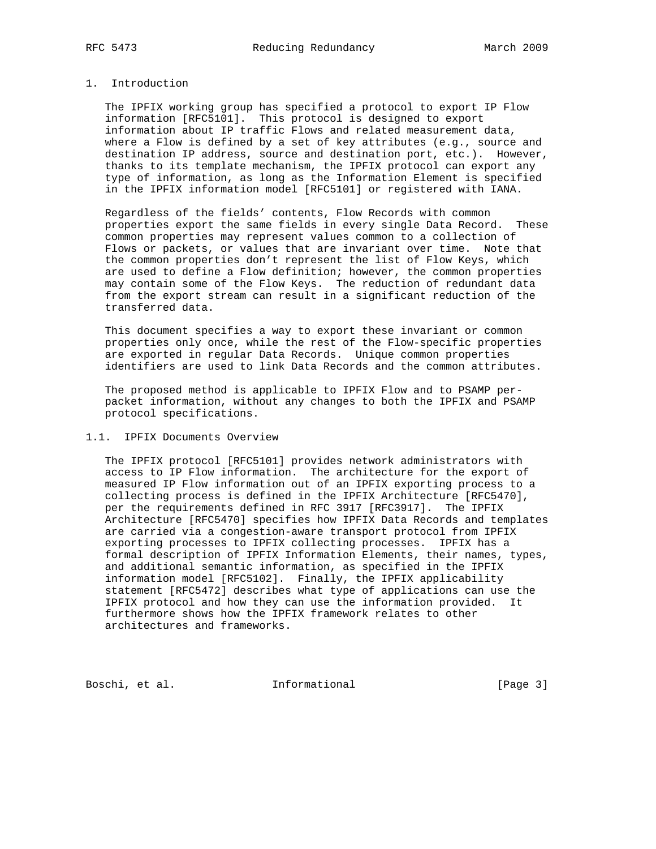# 1. Introduction

 The IPFIX working group has specified a protocol to export IP Flow information [RFC5101]. This protocol is designed to export information about IP traffic Flows and related measurement data, where a Flow is defined by a set of key attributes (e.g., source and destination IP address, source and destination port, etc.). However, thanks to its template mechanism, the IPFIX protocol can export any type of information, as long as the Information Element is specified in the IPFIX information model [RFC5101] or registered with IANA.

 Regardless of the fields' contents, Flow Records with common properties export the same fields in every single Data Record. These common properties may represent values common to a collection of Flows or packets, or values that are invariant over time. Note that the common properties don't represent the list of Flow Keys, which are used to define a Flow definition; however, the common properties may contain some of the Flow Keys. The reduction of redundant data from the export stream can result in a significant reduction of the transferred data.

 This document specifies a way to export these invariant or common properties only once, while the rest of the Flow-specific properties are exported in regular Data Records. Unique common properties identifiers are used to link Data Records and the common attributes.

 The proposed method is applicable to IPFIX Flow and to PSAMP per packet information, without any changes to both the IPFIX and PSAMP protocol specifications.

### 1.1. IPFIX Documents Overview

 The IPFIX protocol [RFC5101] provides network administrators with access to IP Flow information. The architecture for the export of measured IP Flow information out of an IPFIX exporting process to a collecting process is defined in the IPFIX Architecture [RFC5470], per the requirements defined in RFC 3917 [RFC3917]. The IPFIX Architecture [RFC5470] specifies how IPFIX Data Records and templates are carried via a congestion-aware transport protocol from IPFIX exporting processes to IPFIX collecting processes. IPFIX has a formal description of IPFIX Information Elements, their names, types, and additional semantic information, as specified in the IPFIX information model [RFC5102]. Finally, the IPFIX applicability statement [RFC5472] describes what type of applications can use the IPFIX protocol and how they can use the information provided. It furthermore shows how the IPFIX framework relates to other architectures and frameworks.

Boschi, et al. 1nformational [Page 3]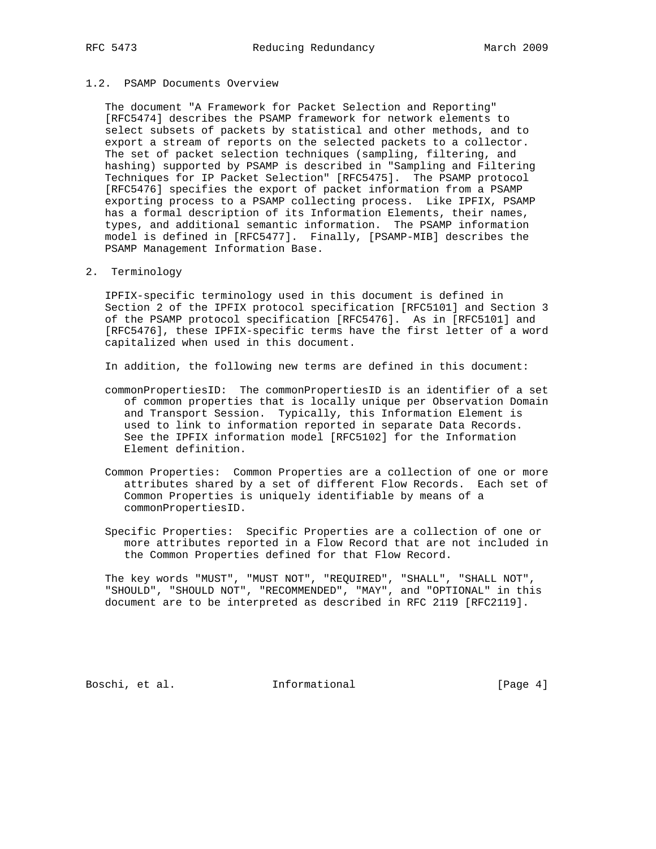## 1.2. PSAMP Documents Overview

 The document "A Framework for Packet Selection and Reporting" [RFC5474] describes the PSAMP framework for network elements to select subsets of packets by statistical and other methods, and to export a stream of reports on the selected packets to a collector. The set of packet selection techniques (sampling, filtering, and hashing) supported by PSAMP is described in "Sampling and Filtering Techniques for IP Packet Selection" [RFC5475]. The PSAMP protocol [RFC5476] specifies the export of packet information from a PSAMP exporting process to a PSAMP collecting process. Like IPFIX, PSAMP has a formal description of its Information Elements, their names, types, and additional semantic information. The PSAMP information model is defined in [RFC5477]. Finally, [PSAMP-MIB] describes the PSAMP Management Information Base.

2. Terminology

 IPFIX-specific terminology used in this document is defined in Section 2 of the IPFIX protocol specification [RFC5101] and Section 3 of the PSAMP protocol specification [RFC5476]. As in [RFC5101] and [RFC5476], these IPFIX-specific terms have the first letter of a word capitalized when used in this document.

In addition, the following new terms are defined in this document:

- commonPropertiesID: The commonPropertiesID is an identifier of a set of common properties that is locally unique per Observation Domain and Transport Session. Typically, this Information Element is used to link to information reported in separate Data Records. See the IPFIX information model [RFC5102] for the Information Element definition.
- Common Properties: Common Properties are a collection of one or more attributes shared by a set of different Flow Records. Each set of Common Properties is uniquely identifiable by means of a commonPropertiesID.
- Specific Properties: Specific Properties are a collection of one or more attributes reported in a Flow Record that are not included in the Common Properties defined for that Flow Record.

 The key words "MUST", "MUST NOT", "REQUIRED", "SHALL", "SHALL NOT", "SHOULD", "SHOULD NOT", "RECOMMENDED", "MAY", and "OPTIONAL" in this document are to be interpreted as described in RFC 2119 [RFC2119].

Boschi, et al. **Informational** [Page 4]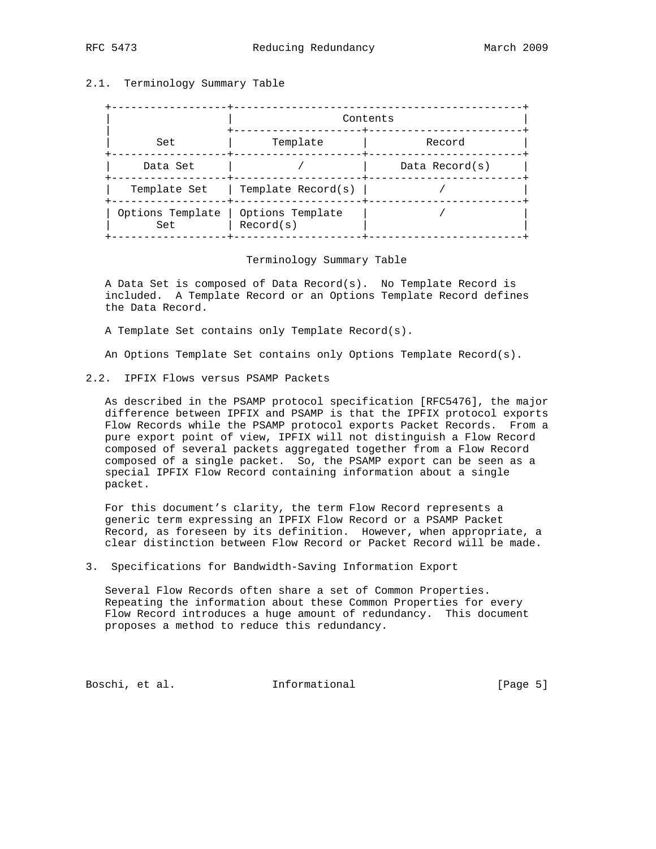## 2.1. Terminology Summary Table

|                         | Contents                      |                   |  |  |  |
|-------------------------|-------------------------------|-------------------|--|--|--|
| Set                     | Template                      | Record            |  |  |  |
| Data Set                |                               | Data Record $(s)$ |  |  |  |
| Template Set            | Template Record(s)            |                   |  |  |  |
| Options Template<br>Set | Options Template<br>Record(s) |                   |  |  |  |

#### Terminology Summary Table

 A Data Set is composed of Data Record(s). No Template Record is included. A Template Record or an Options Template Record defines the Data Record.

A Template Set contains only Template Record(s).

An Options Template Set contains only Options Template Record(s).

2.2. IPFIX Flows versus PSAMP Packets

 As described in the PSAMP protocol specification [RFC5476], the major difference between IPFIX and PSAMP is that the IPFIX protocol exports Flow Records while the PSAMP protocol exports Packet Records. From a pure export point of view, IPFIX will not distinguish a Flow Record composed of several packets aggregated together from a Flow Record composed of a single packet. So, the PSAMP export can be seen as a special IPFIX Flow Record containing information about a single packet.

 For this document's clarity, the term Flow Record represents a generic term expressing an IPFIX Flow Record or a PSAMP Packet Record, as foreseen by its definition. However, when appropriate, a clear distinction between Flow Record or Packet Record will be made.

3. Specifications for Bandwidth-Saving Information Export

 Several Flow Records often share a set of Common Properties. Repeating the information about these Common Properties for every Flow Record introduces a huge amount of redundancy. This document proposes a method to reduce this redundancy.

Boschi, et al. 1nformational [Page 5]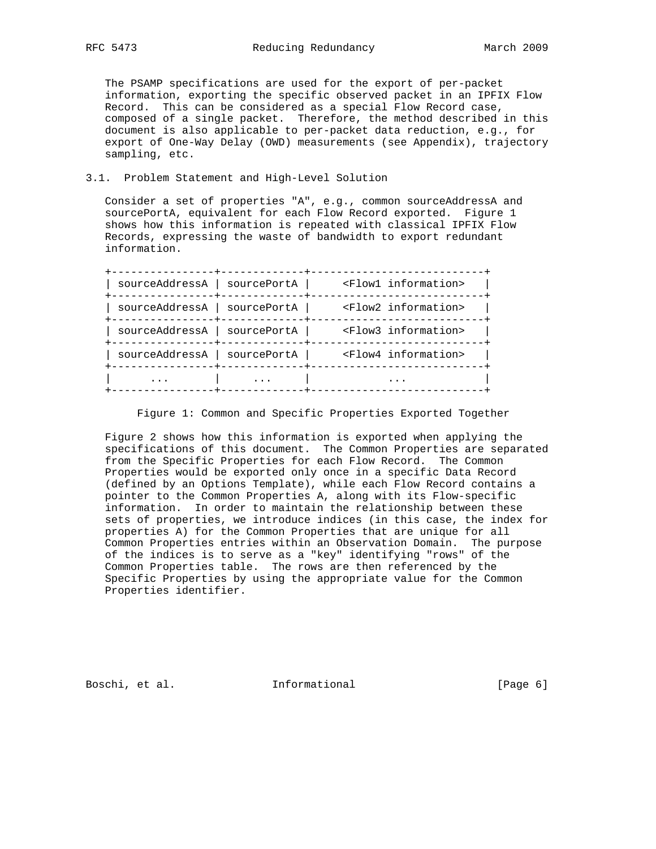The PSAMP specifications are used for the export of per-packet information, exporting the specific observed packet in an IPFIX Flow Record. This can be considered as a special Flow Record case, composed of a single packet. Therefore, the method described in this document is also applicable to per-packet data reduction, e.g., for export of One-Way Delay (OWD) measurements (see Appendix), trajectory sampling, etc.

#### 3.1. Problem Statement and High-Level Solution

 Consider a set of properties "A", e.g., common sourceAddressA and sourcePortA, equivalent for each Flow Record exported. Figure 1 shows how this information is repeated with classical IPFIX Flow Records, expressing the waste of bandwidth to export redundant information.

| sourceAddressA<br>  sourcePortA | <flow1 information=""></flow1> |
|---------------------------------|--------------------------------|
| sourceAddressA<br>  sourcePortA | <flow2 information=""></flow2> |
| sourceAddressA<br>  sourcePortA | <flow3 information=""></flow3> |
| sourceAddressA<br>sourcePortA   | <flow4 information=""></flow4> |
|                                 |                                |
|                                 |                                |

Figure 1: Common and Specific Properties Exported Together

 Figure 2 shows how this information is exported when applying the specifications of this document. The Common Properties are separated from the Specific Properties for each Flow Record. The Common Properties would be exported only once in a specific Data Record (defined by an Options Template), while each Flow Record contains a pointer to the Common Properties A, along with its Flow-specific information. In order to maintain the relationship between these sets of properties, we introduce indices (in this case, the index for properties A) for the Common Properties that are unique for all Common Properties entries within an Observation Domain. The purpose of the indices is to serve as a "key" identifying "rows" of the Common Properties table. The rows are then referenced by the Specific Properties by using the appropriate value for the Common Properties identifier.

Boschi, et al. **Informational** [Page 6]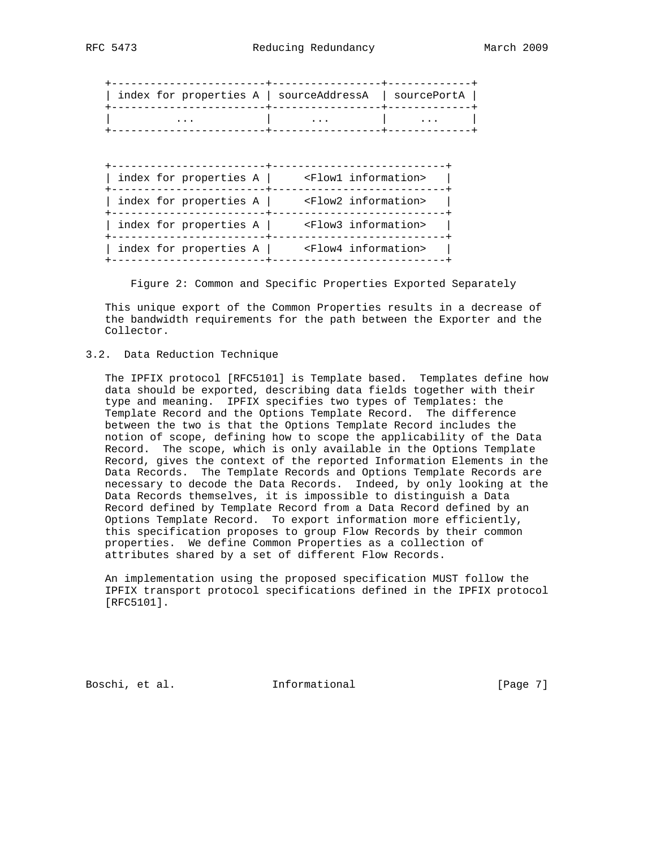| index for properties A   sourceAddressA   sourcePortA |          |
|-------------------------------------------------------|----------|
| .                                                     | $\cdots$ |

| <flow1 information=""></flow1> |
|--------------------------------|
| <flow2 information=""></flow2> |
| <flow3 information=""></flow3> |
| <flow4 information=""></flow4> |
|                                |

Figure 2: Common and Specific Properties Exported Separately

 This unique export of the Common Properties results in a decrease of the bandwidth requirements for the path between the Exporter and the Collector.

#### 3.2. Data Reduction Technique

 The IPFIX protocol [RFC5101] is Template based. Templates define how data should be exported, describing data fields together with their type and meaning. IPFIX specifies two types of Templates: the Template Record and the Options Template Record. The difference between the two is that the Options Template Record includes the notion of scope, defining how to scope the applicability of the Data Record. The scope, which is only available in the Options Template Record, gives the context of the reported Information Elements in the Data Records. The Template Records and Options Template Records are necessary to decode the Data Records. Indeed, by only looking at the Data Records themselves, it is impossible to distinguish a Data Record defined by Template Record from a Data Record defined by an Options Template Record. To export information more efficiently, this specification proposes to group Flow Records by their common properties. We define Common Properties as a collection of attributes shared by a set of different Flow Records.

 An implementation using the proposed specification MUST follow the IPFIX transport protocol specifications defined in the IPFIX protocol [RFC5101].

Boschi, et al. Informational [Page 7]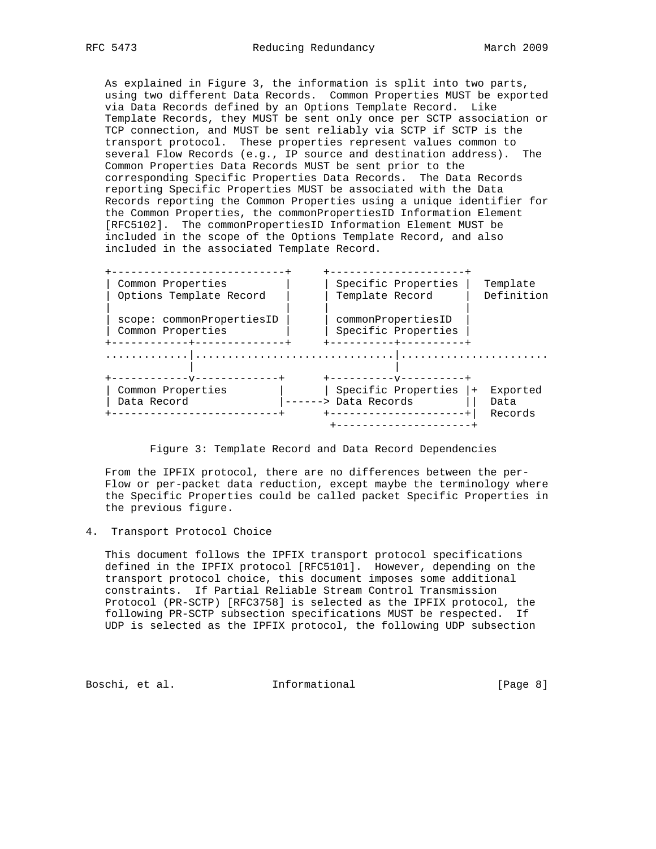As explained in Figure 3, the information is split into two parts, using two different Data Records. Common Properties MUST be exported via Data Records defined by an Options Template Record. Like Template Records, they MUST be sent only once per SCTP association or TCP connection, and MUST be sent reliably via SCTP if SCTP is the transport protocol. These properties represent values common to several Flow Records (e.g., IP source and destination address). The Common Properties Data Records MUST be sent prior to the corresponding Specific Properties Data Records. The Data Records reporting Specific Properties MUST be associated with the Data Records reporting the Common Properties using a unique identifier for the Common Properties, the commonPropertiesID Information Element [RFC5102]. The commonPropertiesID Information Element MUST be included in the scope of the Options Template Record, and also included in the associated Template Record.

| ----------------                               |                      |                                           |     |                             |
|------------------------------------------------|----------------------|-------------------------------------------|-----|-----------------------------|
| Common Properties<br>Options Template Record   | Template Record      | Specific Properties                       |     | Template<br>Definition      |
| scope: commonPropertiesID<br>Common Properties |                      | commonPropertiesID<br>Specific Properties |     |                             |
| -------------                                  |                      | --------V---------                        |     |                             |
| Common Properties<br>Data Record               | ------> Data Records | Specific Properties                       | $+$ | Exported<br>Data<br>Records |
|                                                |                      |                                           |     |                             |

#### Figure 3: Template Record and Data Record Dependencies

 From the IPFIX protocol, there are no differences between the per- Flow or per-packet data reduction, except maybe the terminology where the Specific Properties could be called packet Specific Properties in the previous figure.

4. Transport Protocol Choice

 This document follows the IPFIX transport protocol specifications defined in the IPFIX protocol [RFC5101]. However, depending on the transport protocol choice, this document imposes some additional constraints. If Partial Reliable Stream Control Transmission Protocol (PR-SCTP) [RFC3758] is selected as the IPFIX protocol, the following PR-SCTP subsection specifications MUST be respected. If UDP is selected as the IPFIX protocol, the following UDP subsection

Boschi, et al. 1nformational [Page 8]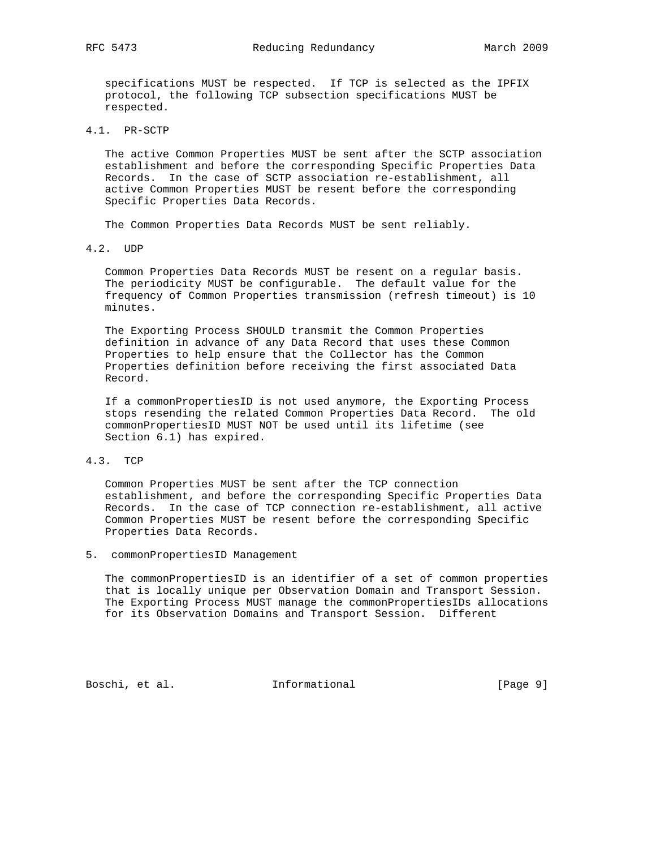specifications MUST be respected. If TCP is selected as the IPFIX protocol, the following TCP subsection specifications MUST be respected.

4.1. PR-SCTP

 The active Common Properties MUST be sent after the SCTP association establishment and before the corresponding Specific Properties Data Records. In the case of SCTP association re-establishment, all active Common Properties MUST be resent before the corresponding Specific Properties Data Records.

The Common Properties Data Records MUST be sent reliably.

4.2. UDP

 Common Properties Data Records MUST be resent on a regular basis. The periodicity MUST be configurable. The default value for the frequency of Common Properties transmission (refresh timeout) is 10 minutes.

 The Exporting Process SHOULD transmit the Common Properties definition in advance of any Data Record that uses these Common Properties to help ensure that the Collector has the Common Properties definition before receiving the first associated Data Record.

 If a commonPropertiesID is not used anymore, the Exporting Process stops resending the related Common Properties Data Record. The old commonPropertiesID MUST NOT be used until its lifetime (see Section 6.1) has expired.

4.3. TCP

 Common Properties MUST be sent after the TCP connection establishment, and before the corresponding Specific Properties Data Records. In the case of TCP connection re-establishment, all active Common Properties MUST be resent before the corresponding Specific Properties Data Records.

5. commonPropertiesID Management

 The commonPropertiesID is an identifier of a set of common properties that is locally unique per Observation Domain and Transport Session. The Exporting Process MUST manage the commonPropertiesIDs allocations for its Observation Domains and Transport Session. Different

Boschi, et al. **Informational** [Page 9]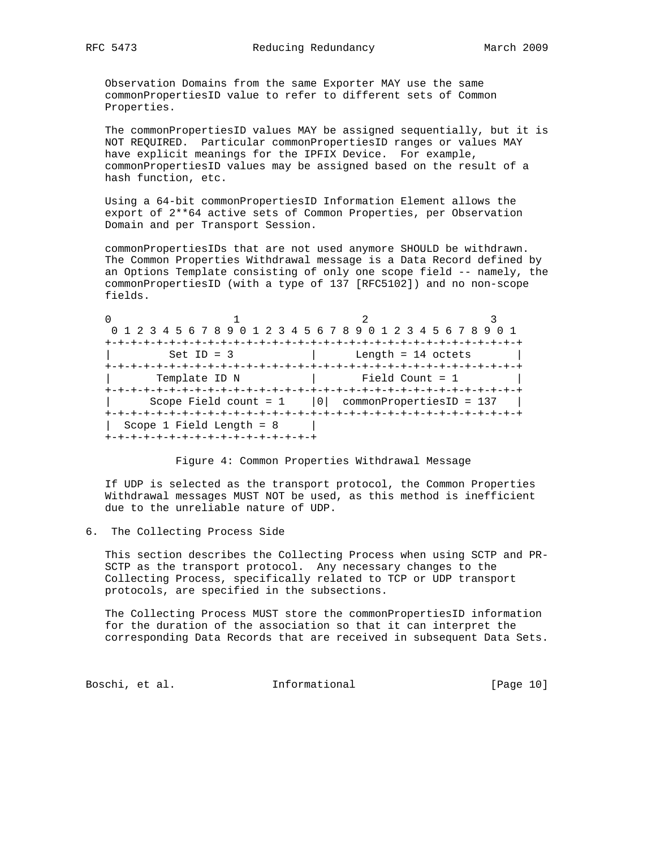Observation Domains from the same Exporter MAY use the same commonPropertiesID value to refer to different sets of Common Properties.

 The commonPropertiesID values MAY be assigned sequentially, but it is NOT REQUIRED. Particular commonPropertiesID ranges or values MAY have explicit meanings for the IPFIX Device. For example, commonPropertiesID values may be assigned based on the result of a hash function, etc.

 Using a 64-bit commonPropertiesID Information Element allows the export of 2\*\*64 active sets of Common Properties, per Observation Domain and per Transport Session.

 commonPropertiesIDs that are not used anymore SHOULD be withdrawn. The Common Properties Withdrawal message is a Data Record defined by an Options Template consisting of only one scope field -- namely, the commonPropertiesID (with a type of 137 [RFC5102]) and no non-scope fields.

| 0 1 2 3 4 5 6 7 8 9 0 1 2 3 4 5 6 7 8 9 0 1 2 3 4 5 6 7 8 9 |                      |  |
|-------------------------------------------------------------|----------------------|--|
|                                                             |                      |  |
| Set ID = $3$                                                | Length = $14$ octets |  |
|                                                             |                      |  |
| Template ID N                                               | Field Count = $1$    |  |
|                                                             |                      |  |
| Scope Field count = $1$   0  commonPropertiesID = 137       |                      |  |
|                                                             |                      |  |
| Scope 1 Field Length = $8$                                  |                      |  |
| +-+-+-+-+-+-+-+-+-+-+-+-+-+-+-+-+-+                         |                      |  |

#### Figure 4: Common Properties Withdrawal Message

 If UDP is selected as the transport protocol, the Common Properties Withdrawal messages MUST NOT be used, as this method is inefficient due to the unreliable nature of UDP.

6. The Collecting Process Side

 This section describes the Collecting Process when using SCTP and PR- SCTP as the transport protocol. Any necessary changes to the Collecting Process, specifically related to TCP or UDP transport protocols, are specified in the subsections.

 The Collecting Process MUST store the commonPropertiesID information for the duration of the association so that it can interpret the corresponding Data Records that are received in subsequent Data Sets.

Boschi, et al. 10 methormational 1999 [Page 10]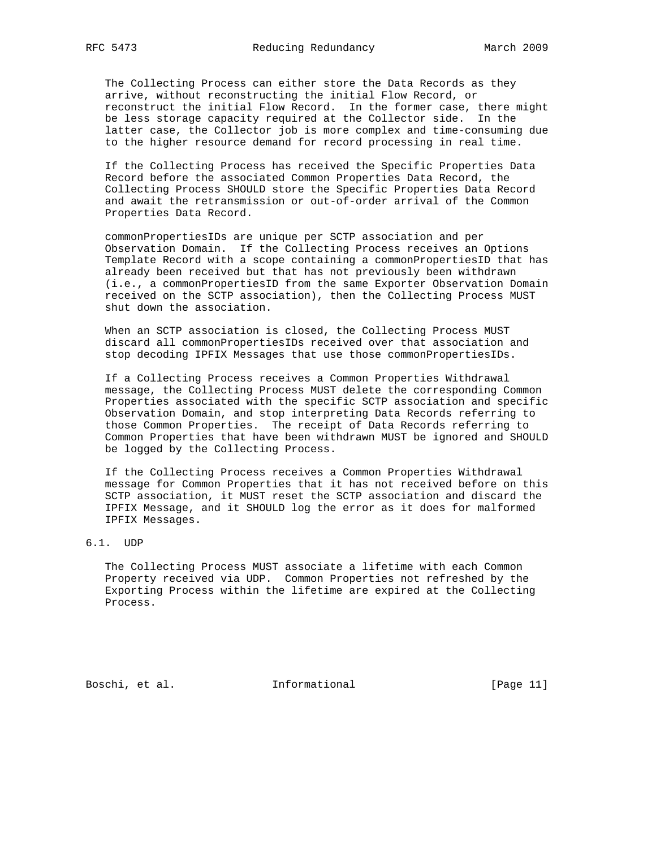The Collecting Process can either store the Data Records as they arrive, without reconstructing the initial Flow Record, or reconstruct the initial Flow Record. In the former case, there might be less storage capacity required at the Collector side. In the latter case, the Collector job is more complex and time-consuming due to the higher resource demand for record processing in real time.

 If the Collecting Process has received the Specific Properties Data Record before the associated Common Properties Data Record, the Collecting Process SHOULD store the Specific Properties Data Record and await the retransmission or out-of-order arrival of the Common Properties Data Record.

 commonPropertiesIDs are unique per SCTP association and per Observation Domain. If the Collecting Process receives an Options Template Record with a scope containing a commonPropertiesID that has already been received but that has not previously been withdrawn (i.e., a commonPropertiesID from the same Exporter Observation Domain received on the SCTP association), then the Collecting Process MUST shut down the association.

 When an SCTP association is closed, the Collecting Process MUST discard all commonPropertiesIDs received over that association and stop decoding IPFIX Messages that use those commonPropertiesIDs.

 If a Collecting Process receives a Common Properties Withdrawal message, the Collecting Process MUST delete the corresponding Common Properties associated with the specific SCTP association and specific Observation Domain, and stop interpreting Data Records referring to those Common Properties. The receipt of Data Records referring to Common Properties that have been withdrawn MUST be ignored and SHOULD be logged by the Collecting Process.

 If the Collecting Process receives a Common Properties Withdrawal message for Common Properties that it has not received before on this SCTP association, it MUST reset the SCTP association and discard the IPFIX Message, and it SHOULD log the error as it does for malformed IPFIX Messages.

6.1. UDP

 The Collecting Process MUST associate a lifetime with each Common Property received via UDP. Common Properties not refreshed by the Exporting Process within the lifetime are expired at the Collecting Process.

Boschi, et al. 1nformational [Page 11]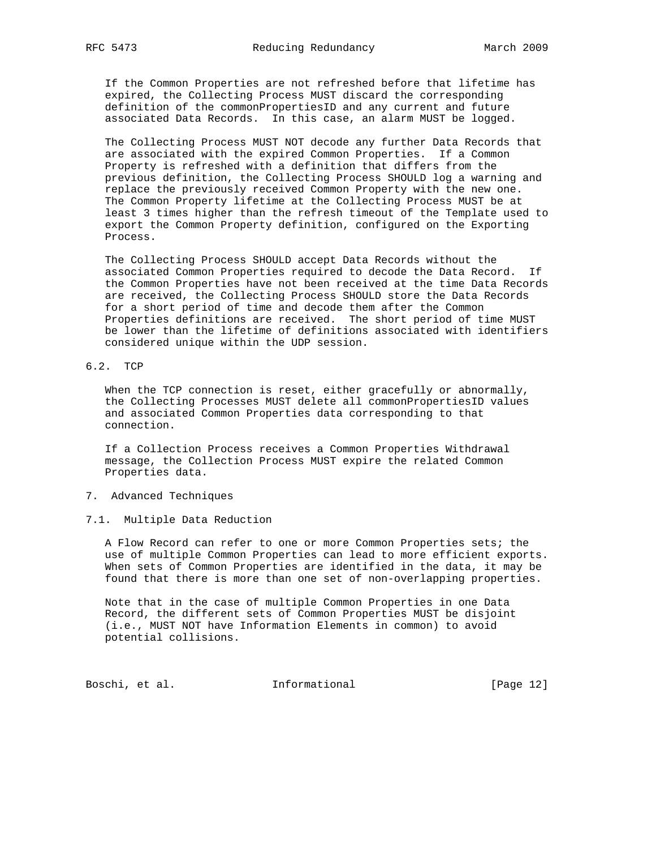If the Common Properties are not refreshed before that lifetime has expired, the Collecting Process MUST discard the corresponding definition of the commonPropertiesID and any current and future associated Data Records. In this case, an alarm MUST be logged.

 The Collecting Process MUST NOT decode any further Data Records that are associated with the expired Common Properties. If a Common Property is refreshed with a definition that differs from the previous definition, the Collecting Process SHOULD log a warning and replace the previously received Common Property with the new one. The Common Property lifetime at the Collecting Process MUST be at least 3 times higher than the refresh timeout of the Template used to export the Common Property definition, configured on the Exporting Process.

 The Collecting Process SHOULD accept Data Records without the associated Common Properties required to decode the Data Record. If the Common Properties have not been received at the time Data Records are received, the Collecting Process SHOULD store the Data Records for a short period of time and decode them after the Common Properties definitions are received. The short period of time MUST be lower than the lifetime of definitions associated with identifiers considered unique within the UDP session.

## 6.2. TCP

 When the TCP connection is reset, either gracefully or abnormally, the Collecting Processes MUST delete all commonPropertiesID values and associated Common Properties data corresponding to that connection.

 If a Collection Process receives a Common Properties Withdrawal message, the Collection Process MUST expire the related Common Properties data.

#### 7. Advanced Techniques

### 7.1. Multiple Data Reduction

 A Flow Record can refer to one or more Common Properties sets; the use of multiple Common Properties can lead to more efficient exports. When sets of Common Properties are identified in the data, it may be found that there is more than one set of non-overlapping properties.

 Note that in the case of multiple Common Properties in one Data Record, the different sets of Common Properties MUST be disjoint (i.e., MUST NOT have Information Elements in common) to avoid potential collisions.

Boschi, et al. 1nformational [Page 12]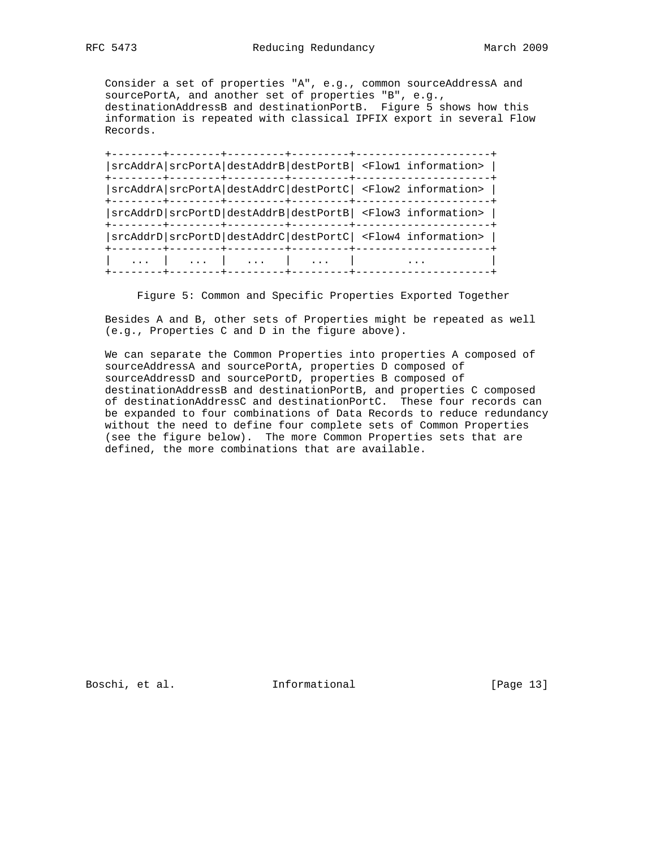Consider a set of properties "A", e.g., common sourceAddressA and sourcePortA, and another set of properties "B", e.g., destinationAddressB and destinationPortB. Figure 5 shows how this information is repeated with classical IPFIX export in several Flow Records.

 +--------+--------+---------+---------+---------------------+ |srcAddrA|srcPortA|destAddrB|destPortB| <Flow1 information> | +--------+--------+---------+---------+---------------------+ |srcAddrA|srcPortA|destAddrC|destPortC| <Flow2 information> | +--------+--------+---------+---------+---------------------+ |srcAddrD|srcPortD|destAddrB|destPortB| <Flow3 information> | +--------+--------+---------+---------+---------------------+ |srcAddrD|srcPortD|destAddrC|destPortC| <Flow4 information> | +--------+--------+---------+---------+---------------------+ | ... | ... | ... | ... | ... | +--------+--------+---------+---------+---------------------+

Figure 5: Common and Specific Properties Exported Together

 Besides A and B, other sets of Properties might be repeated as well (e.g., Properties C and D in the figure above).

 We can separate the Common Properties into properties A composed of sourceAddressA and sourcePortA, properties D composed of sourceAddressD and sourcePortD, properties B composed of destinationAddressB and destinationPortB, and properties C composed of destinationAddressC and destinationPortC. These four records can be expanded to four combinations of Data Records to reduce redundancy without the need to define four complete sets of Common Properties (see the figure below). The more Common Properties sets that are defined, the more combinations that are available.

Boschi, et al. 100 mm informational 100 mm informational [Page 13]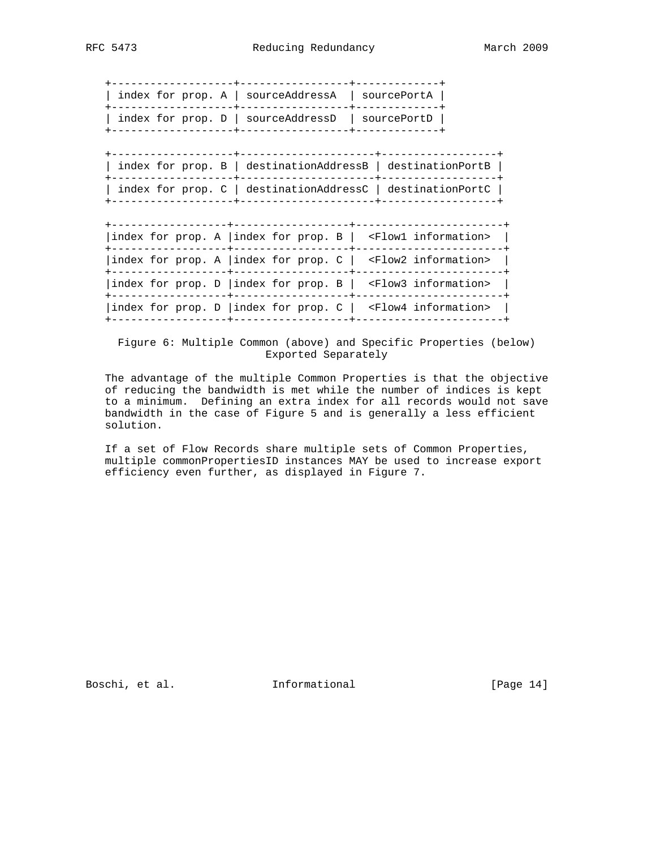+-------------------+-----------------+-------------+ | index for prop. A | sourceAddressA | sourcePortA | +-------------------+-----------------+-------------+ | index for prop. D | sourceAddressD | sourcePortD | +-------------------+-----------------+-------------+

 +-------------------+---------------------+------------------+ | index for prop. B | destinationAddressB | destinationPortB | +-------------------+---------------------+------------------+ | index for prop. C | destinationAddressC | destinationPortC | +-------------------+---------------------+------------------+

 +------------------+------------------+-----------------------+ |index for prop. A |index for prop. B | <Flow1 information> | +------------------+------------------+-----------------------+ |index for prop. A |index for prop. C | <Flow2 information> | +------------------+------------------+-----------------------+ |index for prop. D |index for prop. B | <Flow3 information> | +------------------+------------------+-----------------------+ |index for prop. D |index for prop. C | <Flow4 information> | +------------------+------------------+-----------------------+

 Figure 6: Multiple Common (above) and Specific Properties (below) Exported Separately

 The advantage of the multiple Common Properties is that the objective of reducing the bandwidth is met while the number of indices is kept to a minimum. Defining an extra index for all records would not save bandwidth in the case of Figure 5 and is generally a less efficient solution.

 If a set of Flow Records share multiple sets of Common Properties, multiple commonPropertiesID instances MAY be used to increase export efficiency even further, as displayed in Figure 7.

Boschi, et al. 1nformational [Page 14]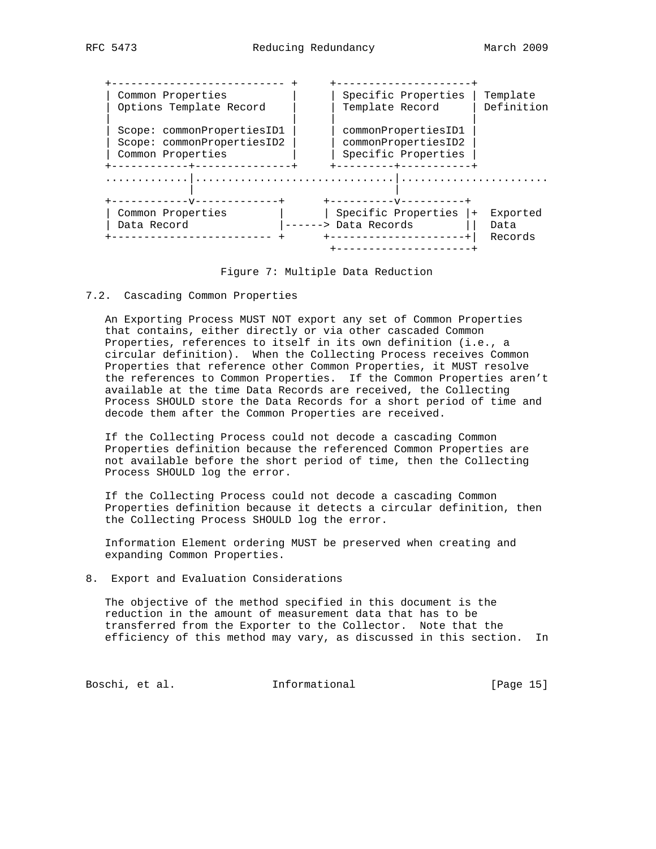| Common Properties<br>Options Template Record                                  | Template Record      | Specific Properties                                                | Template<br>Definition |
|-------------------------------------------------------------------------------|----------------------|--------------------------------------------------------------------|------------------------|
| Scope: commonPropertiesID1<br>Scope: commonPropertiesID2<br>Common Properties |                      | commonPropertiesID1<br>commonPropertiesID2<br>Specific Properties  |                        |
| ------V-------------<br>Common Properties                                     |                      | -----+----------<br>----------------<br>Specific Properties<br>$+$ | Exported               |
| Data Record                                                                   | ------> Data Records |                                                                    | Data<br>Records        |

Figure 7: Multiple Data Reduction

#### 7.2. Cascading Common Properties

 An Exporting Process MUST NOT export any set of Common Properties that contains, either directly or via other cascaded Common Properties, references to itself in its own definition (i.e., a circular definition). When the Collecting Process receives Common Properties that reference other Common Properties, it MUST resolve the references to Common Properties. If the Common Properties aren't available at the time Data Records are received, the Collecting Process SHOULD store the Data Records for a short period of time and decode them after the Common Properties are received.

 If the Collecting Process could not decode a cascading Common Properties definition because the referenced Common Properties are not available before the short period of time, then the Collecting Process SHOULD log the error.

 If the Collecting Process could not decode a cascading Common Properties definition because it detects a circular definition, then the Collecting Process SHOULD log the error.

 Information Element ordering MUST be preserved when creating and expanding Common Properties.

8. Export and Evaluation Considerations

 The objective of the method specified in this document is the reduction in the amount of measurement data that has to be transferred from the Exporter to the Collector. Note that the efficiency of this method may vary, as discussed in this section. In

Boschi, et al. 1nformational 1999 [Page 15]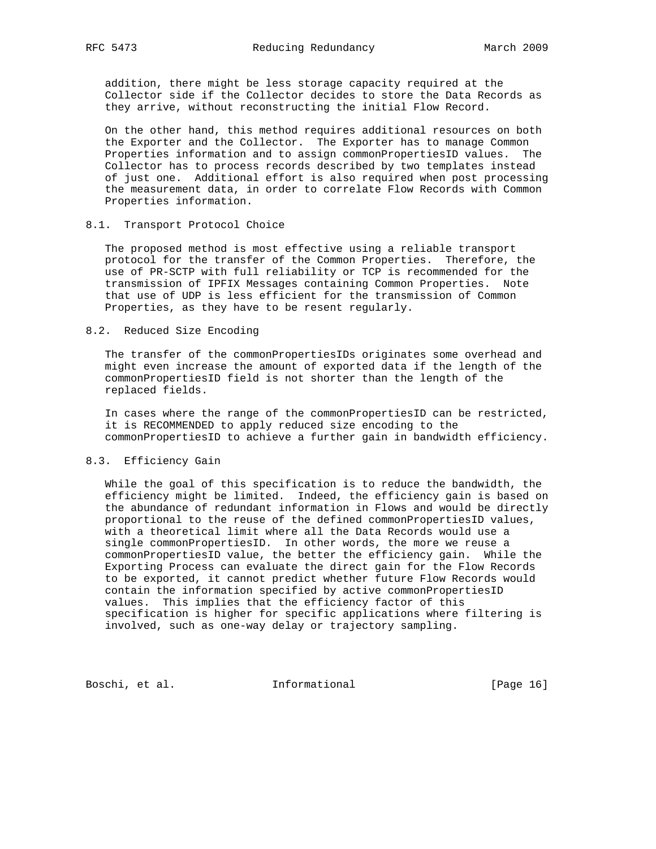addition, there might be less storage capacity required at the Collector side if the Collector decides to store the Data Records as they arrive, without reconstructing the initial Flow Record.

 On the other hand, this method requires additional resources on both the Exporter and the Collector. The Exporter has to manage Common Properties information and to assign commonPropertiesID values. The Collector has to process records described by two templates instead of just one. Additional effort is also required when post processing the measurement data, in order to correlate Flow Records with Common Properties information.

### 8.1. Transport Protocol Choice

 The proposed method is most effective using a reliable transport protocol for the transfer of the Common Properties. Therefore, the use of PR-SCTP with full reliability or TCP is recommended for the transmission of IPFIX Messages containing Common Properties. Note that use of UDP is less efficient for the transmission of Common Properties, as they have to be resent regularly.

### 8.2. Reduced Size Encoding

 The transfer of the commonPropertiesIDs originates some overhead and might even increase the amount of exported data if the length of the commonPropertiesID field is not shorter than the length of the replaced fields.

 In cases where the range of the commonPropertiesID can be restricted, it is RECOMMENDED to apply reduced size encoding to the commonPropertiesID to achieve a further gain in bandwidth efficiency.

#### 8.3. Efficiency Gain

 While the goal of this specification is to reduce the bandwidth, the efficiency might be limited. Indeed, the efficiency gain is based on the abundance of redundant information in Flows and would be directly proportional to the reuse of the defined commonPropertiesID values, with a theoretical limit where all the Data Records would use a single commonPropertiesID. In other words, the more we reuse a commonPropertiesID value, the better the efficiency gain. While the Exporting Process can evaluate the direct gain for the Flow Records to be exported, it cannot predict whether future Flow Records would contain the information specified by active commonPropertiesID values. This implies that the efficiency factor of this specification is higher for specific applications where filtering is involved, such as one-way delay or trajectory sampling.

Boschi, et al. 1nformational [Page 16]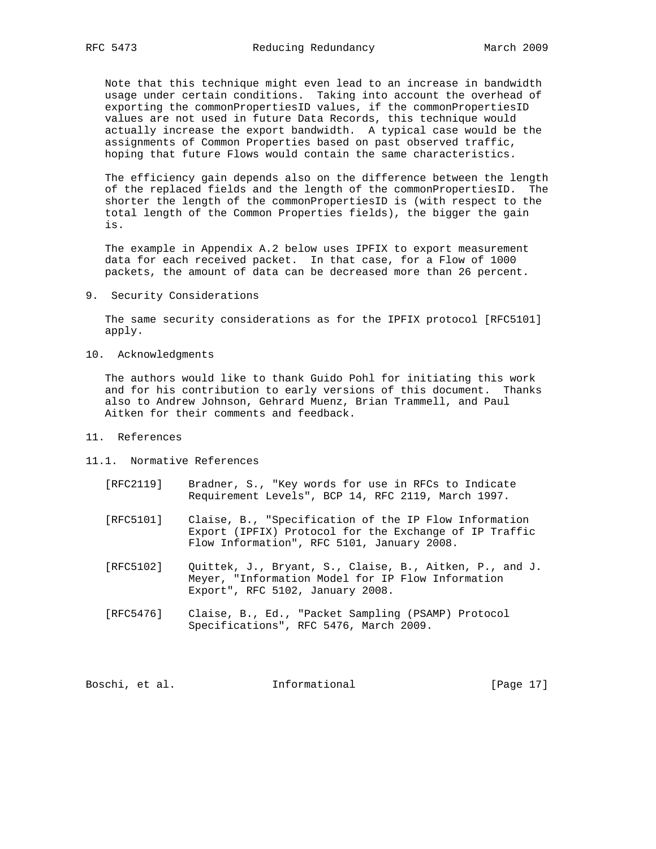Note that this technique might even lead to an increase in bandwidth usage under certain conditions. Taking into account the overhead of exporting the commonPropertiesID values, if the commonPropertiesID values are not used in future Data Records, this technique would actually increase the export bandwidth. A typical case would be the assignments of Common Properties based on past observed traffic, hoping that future Flows would contain the same characteristics.

 The efficiency gain depends also on the difference between the length of the replaced fields and the length of the commonPropertiesID. The shorter the length of the commonPropertiesID is (with respect to the total length of the Common Properties fields), the bigger the gain is.

 The example in Appendix A.2 below uses IPFIX to export measurement data for each received packet. In that case, for a Flow of 1000 packets, the amount of data can be decreased more than 26 percent.

9. Security Considerations

 The same security considerations as for the IPFIX protocol [RFC5101] apply.

10. Acknowledgments

 The authors would like to thank Guido Pohl for initiating this work and for his contribution to early versions of this document. Thanks also to Andrew Johnson, Gehrard Muenz, Brian Trammell, and Paul Aitken for their comments and feedback.

- 11. References
- 11.1. Normative References
	- [RFC2119] Bradner, S., "Key words for use in RFCs to Indicate Requirement Levels", BCP 14, RFC 2119, March 1997.
	- [RFC5101] Claise, B., "Specification of the IP Flow Information Export (IPFIX) Protocol for the Exchange of IP Traffic Flow Information", RFC 5101, January 2008.
	- [RFC5102] Quittek, J., Bryant, S., Claise, B., Aitken, P., and J. Meyer, "Information Model for IP Flow Information Export", RFC 5102, January 2008.
	- [RFC5476] Claise, B., Ed., "Packet Sampling (PSAMP) Protocol Specifications", RFC 5476, March 2009.

Boschi, et al. 1nformational [Page 17]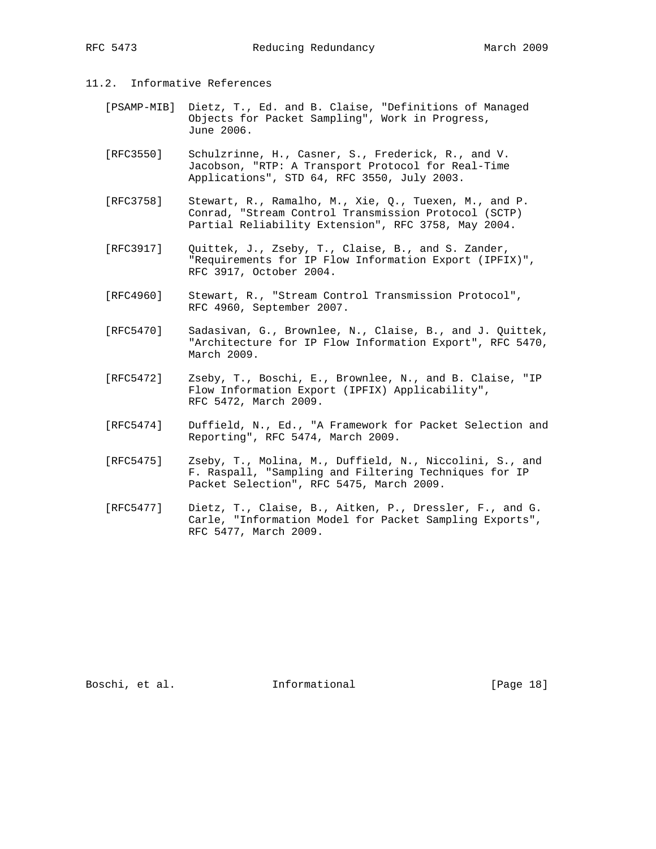# 11.2. Informative References

- [PSAMP-MIB] Dietz, T., Ed. and B. Claise, "Definitions of Managed Objects for Packet Sampling", Work in Progress, June 2006.
- [RFC3550] Schulzrinne, H., Casner, S., Frederick, R., and V. Jacobson, "RTP: A Transport Protocol for Real-Time Applications", STD 64, RFC 3550, July 2003.
- [RFC3758] Stewart, R., Ramalho, M., Xie, Q., Tuexen, M., and P. Conrad, "Stream Control Transmission Protocol (SCTP) Partial Reliability Extension", RFC 3758, May 2004.
- [RFC3917] Quittek, J., Zseby, T., Claise, B., and S. Zander, "Requirements for IP Flow Information Export (IPFIX)", RFC 3917, October 2004.
- [RFC4960] Stewart, R., "Stream Control Transmission Protocol", RFC 4960, September 2007.
- [RFC5470] Sadasivan, G., Brownlee, N., Claise, B., and J. Quittek, "Architecture for IP Flow Information Export", RFC 5470, March 2009.
- [RFC5472] Zseby, T., Boschi, E., Brownlee, N., and B. Claise, "IP Flow Information Export (IPFIX) Applicability", RFC 5472, March 2009.
- [RFC5474] Duffield, N., Ed., "A Framework for Packet Selection and Reporting", RFC 5474, March 2009.
- [RFC5475] Zseby, T., Molina, M., Duffield, N., Niccolini, S., and F. Raspall, "Sampling and Filtering Techniques for IP Packet Selection", RFC 5475, March 2009.
- [RFC5477] Dietz, T., Claise, B., Aitken, P., Dressler, F., and G. Carle, "Information Model for Packet Sampling Exports", RFC 5477, March 2009.

Boschi, et al. 1nformational [Page 18]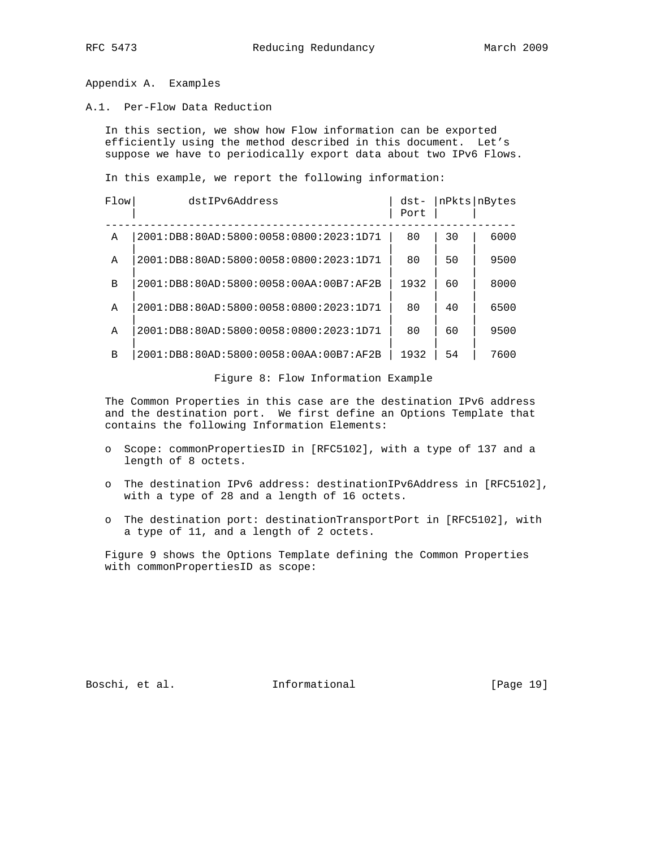Appendix A. Examples

A.1. Per-Flow Data Reduction

 In this section, we show how Flow information can be exported efficiently using the method described in this document. Let's suppose we have to periodically export data about two IPv6 Flows.

In this example, we report the following information:

| Flow | dstIPv6Address                           | $dst-$<br>Port |    | nPkts   nBytes |
|------|------------------------------------------|----------------|----|----------------|
| A    | 2001:DB8:80AD:5800:0058:0800:2023:1D71   | 80             | 30 | 6000           |
| A    | 2001:DB8:80AD:5800:0058:0800:2023:1D71   | 80             | 50 | 9500           |
| B    | 2001:DB8:80AD:5800:0058:00AA:00B7:AF2B   | 1932           | 60 | 8000           |
| A    | 2001:DB8:80AD:5800:0058:0800:2023:1D71   | 80             | 40 | 6500           |
| A    | 2001:DB8:80AD:5800:0058:0800:2023:1D71   | 80             | 60 | 9500           |
| B    | $2001:DB8:80AD:5800:0058:00AA:00B7:AF2B$ | 1932           | 54 | 7600           |

Figure 8: Flow Information Example

 The Common Properties in this case are the destination IPv6 address and the destination port. We first define an Options Template that contains the following Information Elements:

- o Scope: commonPropertiesID in [RFC5102], with a type of 137 and a length of 8 octets.
- o The destination IPv6 address: destinationIPv6Address in [RFC5102], with a type of 28 and a length of 16 octets.
- o The destination port: destinationTransportPort in [RFC5102], with a type of 11, and a length of 2 octets.

 Figure 9 shows the Options Template defining the Common Properties with commonPropertiesID as scope:

Boschi, et al. 1nformational [Page 19]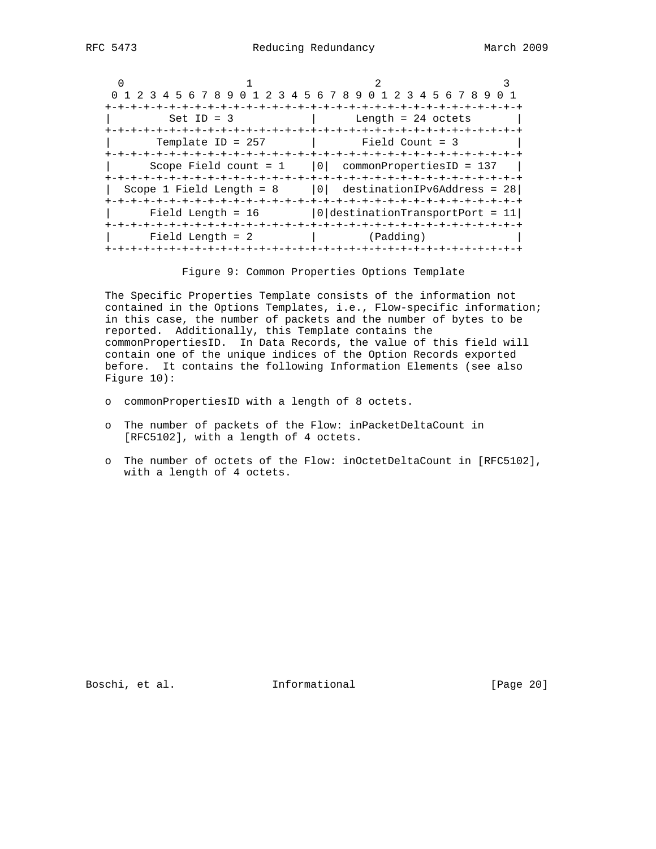| 0 1 2 3 4 5 6 7 8 9 0 1 2 3 4 5 6 7 8 9 0 1 2 3 4 5 6 7 8 9 0 1 |                                   |  |
|-----------------------------------------------------------------|-----------------------------------|--|
| $Set ID = 3$                                                    | a contract the length = 24 octets |  |
| Template ID = $257$ $\qquad$ Field Count = 3                    |                                   |  |
| Scope Field count = $1$   0  commonPropertiesID = 137           |                                   |  |
| Scope 1 Field Length = $8$   0  destinationIPv6Address = 28     |                                   |  |
| Field Length = $16$   0   destinationTransportPort = 11         |                                   |  |
| Field Length = 2                                                | (Padding) (Padding)               |  |

Figure 9: Common Properties Options Template

 The Specific Properties Template consists of the information not contained in the Options Templates, i.e., Flow-specific information; in this case, the number of packets and the number of bytes to be reported. Additionally, this Template contains the commonPropertiesID. In Data Records, the value of this field will contain one of the unique indices of the Option Records exported before. It contains the following Information Elements (see also Figure 10):

- o commonPropertiesID with a length of 8 octets.
- o The number of packets of the Flow: inPacketDeltaCount in [RFC5102], with a length of 4 octets.
- o The number of octets of the Flow: inOctetDeltaCount in [RFC5102], with a length of 4 octets.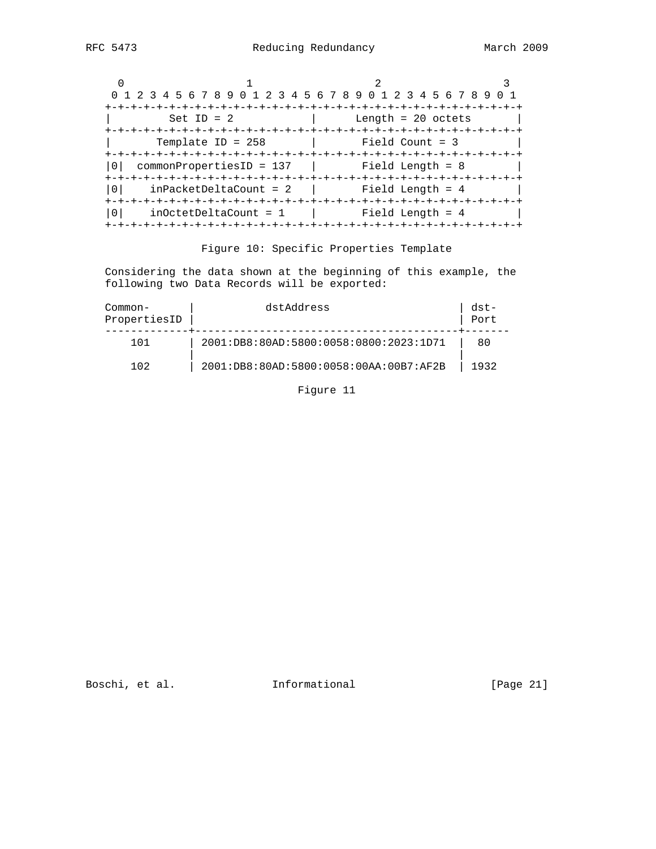| 0 1 2 3 4 5 6 7 8 9 0 1 2 3 4 5 6 7 8 9 0 1 2 3 4 5 6 7 8 9 |                         |                      |  |
|-------------------------------------------------------------|-------------------------|----------------------|--|
|                                                             | -+-+-+-+-+-+-+-+-+-+-+- |                      |  |
| $Set ID = 2$                                                |                         | Length = $20$ octets |  |
|                                                             | -+-+-+-+-+-+-+-+-+-+    |                      |  |
| Template ID = $258$                                         |                         | $Field$ Count = 3    |  |
|                                                             |                         |                      |  |
| $commonPropertiesID = 137$                                  |                         | Field Length = 8     |  |
|                                                             |                         | -+-+-+-+-+-+-+-+     |  |
| $inPacketDeltaCount = 2$                                    |                         | Field Length = $4$   |  |
|                                                             |                         |                      |  |
| $inOctoberDeltaCount = 1$                                   |                         | Field Length = $4$   |  |
| -+-+-+-+-+-+-+-+-+-+-+-+-+-+-+-                             |                         |                      |  |

# Figure 10: Specific Properties Template

 Considering the data shown at the beginning of this example, the following two Data Records will be exported:

| Common-<br>PropertiesID | dstAddress                             | $dst-$<br>Port |
|-------------------------|----------------------------------------|----------------|
|                         | 2001:DB8:80AD:5800:0058:0800:2023:1D71 | 80             |
| 102                     | 2001:DB8:80AD:5800:0058:00AA:00B7:AF2B | 1932           |

Figure 11

Boschi, et al. 1nformational [Page 21]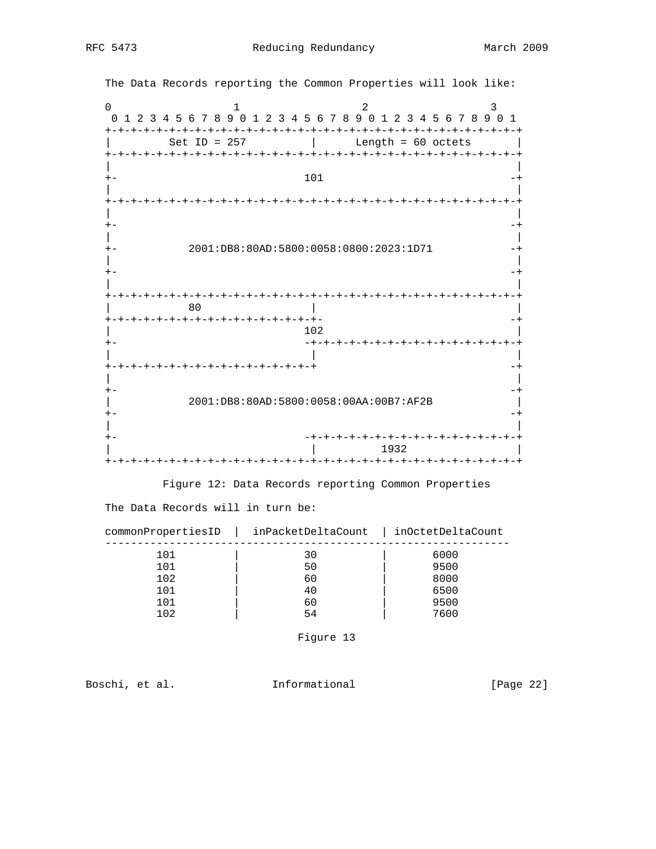|          | The Data Records reporting the Common Properties will look like:          |
|----------|---------------------------------------------------------------------------|
| $\Omega$ | 2<br>3<br>0 1 2 3 4 5 6 7 8 9 0 1 2 3 4 5 6 7 8 9 0 1 2 3 4 5 6 7 8 9 0 1 |
|          | Length = $60$ octets<br>Set ID = $257$                                    |
|          | 101                                                                       |
|          |                                                                           |
|          | 2001:DB8:80AD:5800:0058:0800:2023:1D71                                    |
|          |                                                                           |
|          | 80<br>+-+-+-+-+-+-+-+-+-+-+-+-+-+-+-+-+-+                                 |
|          | 102<br>-+-+-+-+-+-+-+-+-+-+-+-+-+-+-+                                     |
|          | +-+-+-+-+-+-+-+-+-+-+-+-+-+-+-+-+                                         |
|          | 2001:DB8:80AD:5800:0058:00AA:00B7:AF2B                                    |
|          | -+-+-+-+-+-+-+-+-+-+-+-+-+-+-+-+-+-<br>1932                               |

Figure 12: Data Records reporting Common Properties

The Data Records will in turn be:

| commonPropertiesID | inPacketDeltaCount | inOctetDeltaCount |
|--------------------|--------------------|-------------------|
| 101                | 30                 | 6000              |
| 101                | 50                 | 9500              |
| 102                | 60                 | 8000              |
| 101                | 40                 | 6500              |
| 1 N 1              | 60                 | 9500              |

102 | 54 | 7600

Figure 13

Boschi, et al. 1nformational [Page 22]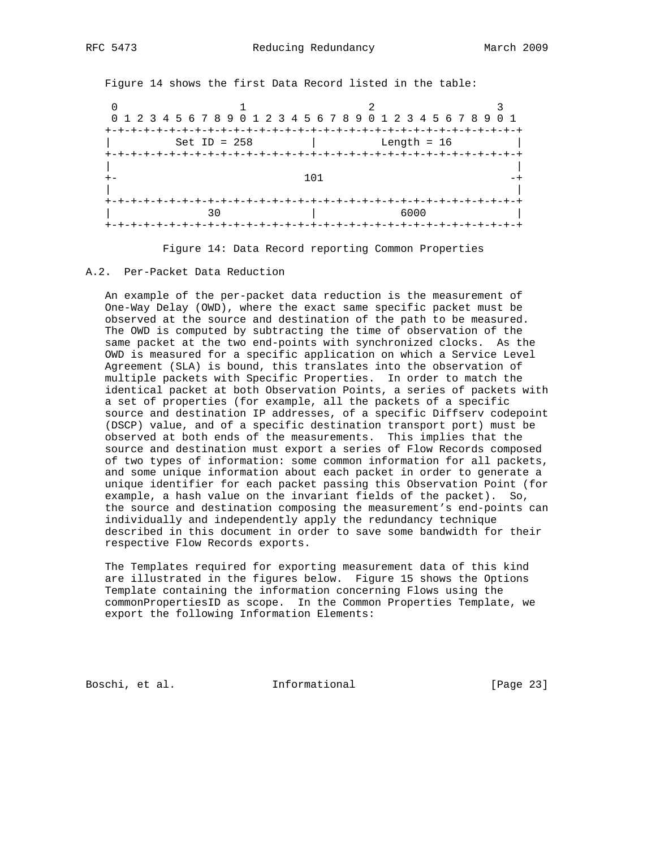Figure 14 shows the first Data Record listed in the table: 0  $1$  2 3 0 1 2 3 4 5 6 7 8 9 0 1 2 3 4 5 6 7 8 9 0 1 2 3 4 5 6 7 8 9 0 1 +-+-+-+-+-+-+-+-+-+-+-+-+-+-+-+-+-+-+-+-+-+-+-+-+-+-+-+-+-+-+-+-+ | Set ID = 258 | Length = 16 | +-+-+-+-+-+-+-+-+-+-+-+-+-+-+-+-+-+-+-+-+-+-+-+-+-+-+-+-+-+-+-+-+ | |  $+ -$  101  $-+$  | | +-+-+-+-+-+-+-+-+-+-+-+-+-+-+-+-+-+-+-+-+-+-+-+-+-+-+-+-+-+-+-+-+ | 30 | 6000 | +-+-+-+-+-+-+-+-+-+-+-+-+-+-+-+-+-+-+-+-+-+-+-+-+-+-+-+-+-+-+-+-+

Figure 14: Data Record reporting Common Properties

#### A.2. Per-Packet Data Reduction

 An example of the per-packet data reduction is the measurement of One-Way Delay (OWD), where the exact same specific packet must be observed at the source and destination of the path to be measured. The OWD is computed by subtracting the time of observation of the same packet at the two end-points with synchronized clocks. As the OWD is measured for a specific application on which a Service Level Agreement (SLA) is bound, this translates into the observation of multiple packets with Specific Properties. In order to match the identical packet at both Observation Points, a series of packets with a set of properties (for example, all the packets of a specific source and destination IP addresses, of a specific Diffserv codepoint (DSCP) value, and of a specific destination transport port) must be observed at both ends of the measurements. This implies that the source and destination must export a series of Flow Records composed of two types of information: some common information for all packets, and some unique information about each packet in order to generate a unique identifier for each packet passing this Observation Point (for example, a hash value on the invariant fields of the packet). So, the source and destination composing the measurement's end-points can individually and independently apply the redundancy technique described in this document in order to save some bandwidth for their respective Flow Records exports.

 The Templates required for exporting measurement data of this kind are illustrated in the figures below. Figure 15 shows the Options Template containing the information concerning Flows using the commonPropertiesID as scope. In the Common Properties Template, we export the following Information Elements:

Boschi, et al. 1nformational [Page 23]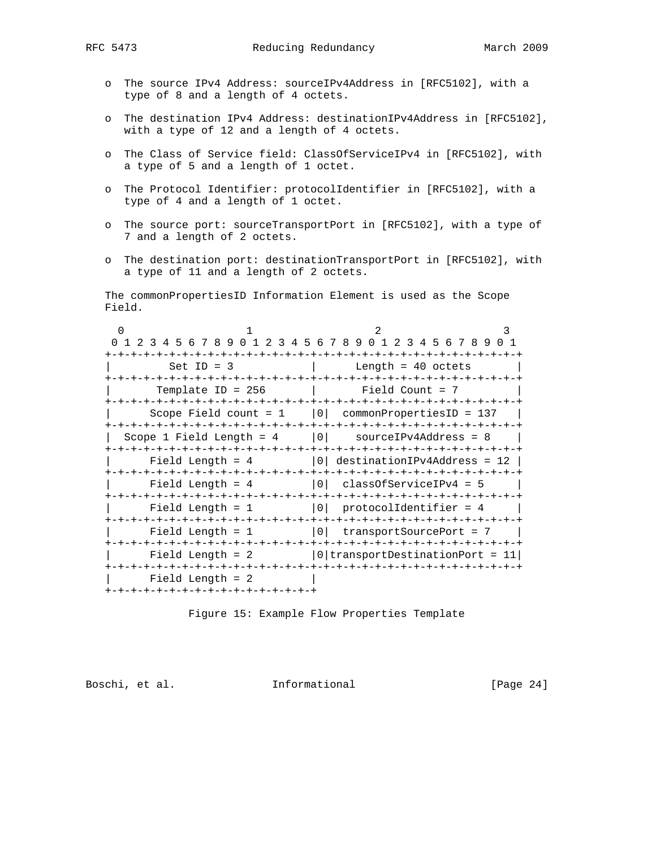- o The source IPv4 Address: sourceIPv4Address in [RFC5102], with a type of 8 and a length of 4 octets.
- o The destination IPv4 Address: destinationIPv4Address in [RFC5102], with a type of 12 and a length of 4 octets.
- o The Class of Service field: ClassOfServiceIPv4 in [RFC5102], with a type of 5 and a length of 1 octet.
- o The Protocol Identifier: protocolIdentifier in [RFC5102], with a type of 4 and a length of 1 octet.
- o The source port: sourceTransportPort in [RFC5102], with a type of 7 and a length of 2 octets.
- o The destination port: destinationTransportPort in [RFC5102], with a type of 11 and a length of 2 octets.

 The commonPropertiesID Information Element is used as the Scope Field.

| 1 2 3 4 5 6 7 8 9<br>-2<br>$\Omega$ | 3 4 5 6 7 8 9 0 1 2 3 4 5 6 7 8 9<br>$(1)$ 1 |  |
|-------------------------------------|----------------------------------------------|--|
|                                     | -+-+-+-+-+-+-+<br>-+-+-+-+-+-+-+-+-+-+       |  |
| $Set$ ID = 3                        | Length = $40$ octets                         |  |
| -+-+-+-+-+-+-+-+-+-+                | -+-+-+-+-+-+                                 |  |
| Template ID = $256$                 | Field Count = 7                              |  |
| ーナーナーナ                              | -+-+-+-+-+-+-+-+-+-+-+-+-+-+-+-+-+-          |  |
| Scope Field count $= 1$             | $ 0 $ commonPropertiesID = 137               |  |
|                                     |                                              |  |
| Scope 1 Field Length = $4$          | 0 <br>$sourceIPv4Address = 8$                |  |
|                                     |                                              |  |
| Field Length = $4$                  | $ 0 $ destinationIPv4Address = 12 $ $        |  |
|                                     |                                              |  |
| Field Length = $4$                  | 0 <br>$classOfServiceIPv4 = 5$               |  |
|                                     |                                              |  |
| Field Length $= 1$                  | 0 <br>protocolIdentifier = 4                 |  |
|                                     |                                              |  |
| Field Length $= 1$                  | 0 <br>transportSourcePort = 7                |  |
|                                     |                                              |  |
| Field Length $= 2$                  | 0 transportDestinationPort =                 |  |
| +-+-+-+-+-+-+-+-+-+-+-+-+-+-+-+     |                                              |  |
| Field Length $= 2$                  |                                              |  |
| +-+-+-+-+-+-+-+-+-+-+-+-+-+-+-+-+   |                                              |  |

Figure 15: Example Flow Properties Template

Boschi, et al. 1nformational [Page 24]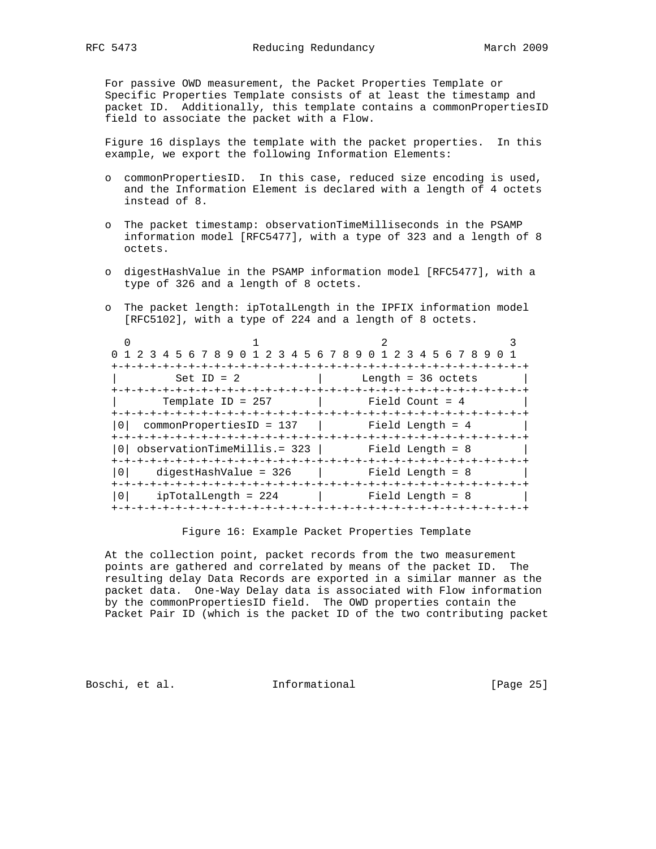For passive OWD measurement, the Packet Properties Template or Specific Properties Template consists of at least the timestamp and packet ID. Additionally, this template contains a commonPropertiesID field to associate the packet with a Flow.

 Figure 16 displays the template with the packet properties. In this example, we export the following Information Elements:

- o commonPropertiesID. In this case, reduced size encoding is used, and the Information Element is declared with a length of 4 octets instead of 8.
- o The packet timestamp: observationTimeMilliseconds in the PSAMP information model [RFC5477], with a type of 323 and a length of 8 octets.
- o digestHashValue in the PSAMP information model [RFC5477], with a type of 326 and a length of 8 octets.
- o The packet length: ipTotalLength in the IPFIX information model [RFC5102], with a type of 224 and a length of 8 octets.

| 0 1 2 3 4 5 6 7 8 9 0 1 2 3 4 5 6 7 8 9 0 1 2 3 4 5 6 7 8 9 0 1 |                                |
|-----------------------------------------------------------------|--------------------------------|
| $Set ID = 2$                                                    | Length = 36 octets             |
| Template ID = $257$                                             | Field Count = 4                |
|                                                                 |                                |
| $commonPropertiesID = 137$ $Field Length = 4$                   |                                |
| observationTimeMillis.= 323           Field Length = 8          |                                |
| $diqestHashValue = 326$<br>0 <sup>1</sup>                       | Field Length = 8               |
| $\Omega$<br>$ipTotalLength = 224$                               | Field Length = 8<br>ーナーナーナーナーナ |

#### Figure 16: Example Packet Properties Template

 At the collection point, packet records from the two measurement points are gathered and correlated by means of the packet ID. The resulting delay Data Records are exported in a similar manner as the packet data. One-Way Delay data is associated with Flow information by the commonPropertiesID field. The OWD properties contain the Packet Pair ID (which is the packet ID of the two contributing packet

Boschi, et al. **Informational** [Page 25]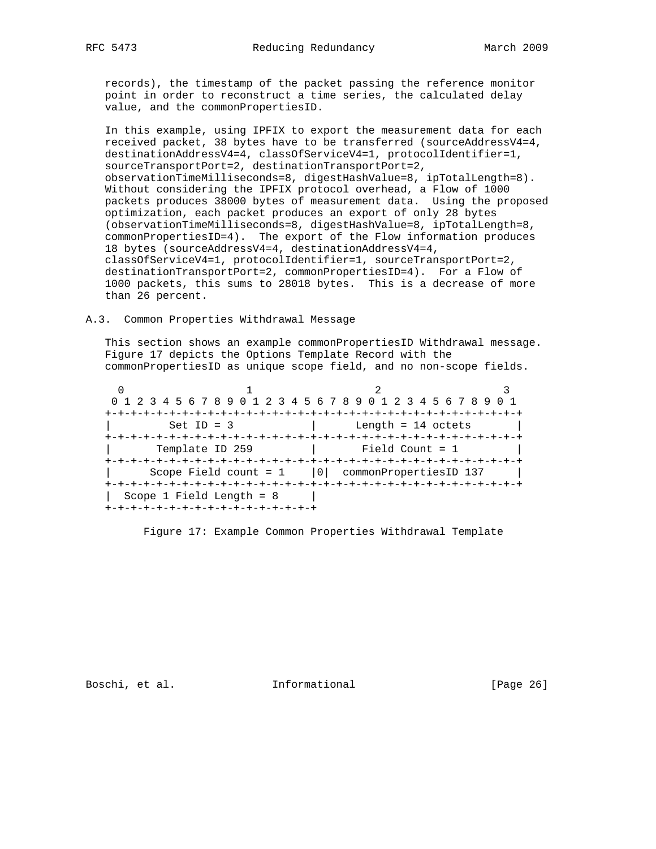records), the timestamp of the packet passing the reference monitor point in order to reconstruct a time series, the calculated delay value, and the commonPropertiesID.

 In this example, using IPFIX to export the measurement data for each received packet, 38 bytes have to be transferred (sourceAddressV4=4, destinationAddressV4=4, classOfServiceV4=1, protocolIdentifier=1, sourceTransportPort=2, destinationTransportPort=2, observationTimeMilliseconds=8, digestHashValue=8, ipTotalLength=8). Without considering the IPFIX protocol overhead, a Flow of 1000 packets produces 38000 bytes of measurement data. Using the proposed optimization, each packet produces an export of only 28 bytes (observationTimeMilliseconds=8, digestHashValue=8, ipTotalLength=8, commonPropertiesID=4). The export of the Flow information produces 18 bytes (sourceAddressV4=4, destinationAddressV4=4, classOfServiceV4=1, protocolIdentifier=1, sourceTransportPort=2, destinationTransportPort=2, commonPropertiesID=4). For a Flow of 1000 packets, this sums to 28018 bytes. This is a decrease of more than 26 percent.

#### A.3. Common Properties Withdrawal Message

 This section shows an example commonPropertiesID Withdrawal message. Figure 17 depicts the Options Template Record with the commonPropertiesID as unique scope field, and no non-scope fields.

0  $1$  2 3 0 1 2 3 4 5 6 7 8 9 0 1 2 3 4 5 6 7 8 9 0 1 2 3 4 5 6 7 8 9 0 1 +-+-+-+-+-+-+-+-+-+-+-+-+-+-+-+-+-+-+-+-+-+-+-+-+-+-+-+-+-+-+-+-+  $\text{Set ID} = 3$  | Length = 14 octets | +-+-+-+-+-+-+-+-+-+-+-+-+-+-+-+-+-+-+-+-+-+-+-+-+-+-+-+-+-+-+-+-+ Template ID 259 | Field Count = 1 +-+-+-+-+-+-+-+-+-+-+-+-+-+-+-+-+-+-+-+-+-+-+-+-+-+-+-+-+-+-+-+-+ Scope Field count =  $1$  |0| commonPropertiesID 137 | +-+-+-+-+-+-+-+-+-+-+-+-+-+-+-+-+-+-+-+-+-+-+-+-+-+-+-+-+-+-+-+-+  $|$  Scope 1 Field Length = 8  $|$ +-+-+-+-+-+-+-+-+-+-+-+-+-+-+-+-+

Figure 17: Example Common Properties Withdrawal Template